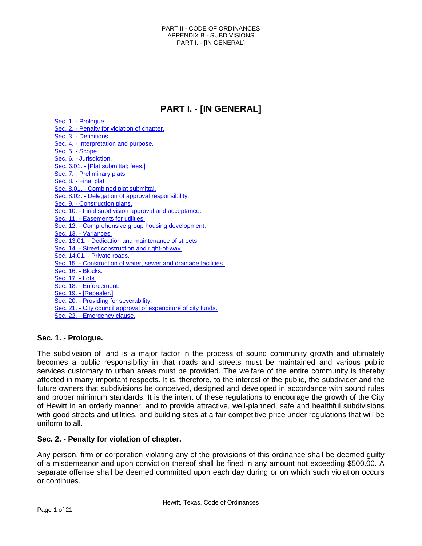# **PART I. - [IN GENERAL]**

Sec. 1. - [Prologue.](#page-0-0) Sec. 2. - [Penalty for violation of chapter.](#page-0-1) Sec. 3. - [Definitions.](#page-1-0) Sec. 4. - [Interpretation and purpose.](#page-2-0) [Sec. 5. -](#page-2-1) Scope. Sec. 6. - [Jurisdiction.](#page-2-2) Sec. 6.01. - [\[Plat submittal; fees.\]](#page-3-0) Sec. 7. - [Preliminary plats.](#page-3-1) Sec. 8. - [Final plat.](#page-5-0) Sec. 8.01. - [Combined plat](#page-7-0) submittal. Sec. 8.02. - [Delegation of approval responsibility.](#page-7-1) Sec. 9. - [Construction plans.](#page-7-2) Sec. 10. - [Final subdivision approval and acceptance.](#page-9-0) Sec. 11. - [Easements for utilities.](#page-9-1) Sec. 12. - [Comprehensive group housing development.](#page-10-0) Sec. 13. - [Variances.](#page-10-1) Sec. 13.01. - [Dedication and maintenance of streets.](#page-10-2) Sec. 14. - [Street construction and right-of-way.](#page-10-3) Sec. 14.01. - [Private roads.](#page-11-0) Sec. 15. - [Construction of water, sewer and drainage facilities.](#page-18-0) [Sec. 16. -](#page-19-0) Blocks. [Sec. 17. -](#page-19-1) Lots. Sec. 18. - [Enforcement.](#page-19-2) Sec. 19. - [\[Repealer.\]](#page-20-0) Sec. 20. - [Providing for severability.](#page-20-1) Sec. 21. - [City council approval of expenditure of city funds.](#page-20-2) Sec. 22. - [Emergency clause.](#page-20-3)

# <span id="page-0-0"></span>**Sec. 1. - Prologue.**

The subdivision of land is a major factor in the process of sound community growth and ultimately becomes a public responsibility in that roads and streets must be maintained and various public services customary to urban areas must be provided. The welfare of the entire community is thereby affected in many important respects. It is, therefore, to the interest of the public, the subdivider and the future owners that subdivisions be conceived, designed and developed in accordance with sound rules and proper minimum standards. It is the intent of these regulations to encourage the growth of the City of Hewitt in an orderly manner, and to provide attractive, well-planned, safe and healthful subdivisions with good streets and utilities, and building sites at a fair competitive price under regulations that will be uniform to all.

### <span id="page-0-1"></span>**Sec. 2. - Penalty for violation of chapter.**

Any person, firm or corporation violating any of the provisions of this ordinance shall be deemed guilty of a misdemeanor and upon conviction thereof shall be fined in any amount not exceeding \$500.00. A separate offense shall be deemed committed upon each day during or on which such violation occurs or continues.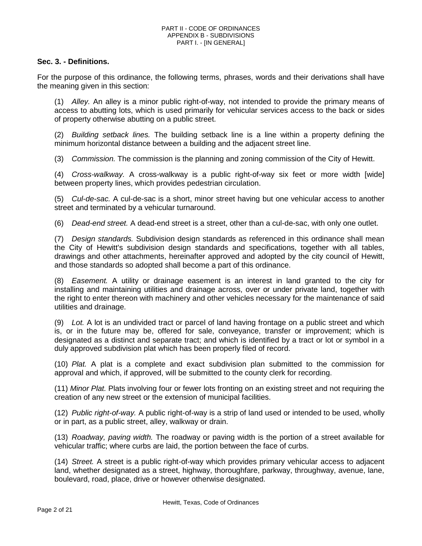# <span id="page-1-0"></span>**Sec. 3. - Definitions.**

For the purpose of this ordinance, the following terms, phrases, words and their derivations shall have the meaning given in this section:

(1) *Alley.* An alley is a minor public right-of-way, not intended to provide the primary means of access to abutting lots, which is used primarily for vehicular services access to the back or sides of property otherwise abutting on a public street.

(2) *Building setback lines.* The building setback line is a line within a property defining the minimum horizontal distance between a building and the adjacent street line.

(3) *Commission.* The commission is the planning and zoning commission of the City of Hewitt.

(4) *Cross-walkway.* A cross-walkway is a public right-of-way six feet or more width [wide] between property lines, which provides pedestrian circulation.

(5) *Cul-de-sac.* A cul-de-sac is a short, minor street having but one vehicular access to another street and terminated by a vehicular turnaround.

(6) *Dead-end street.* A dead-end street is a street, other than a cul-de-sac, with only one outlet.

(7) *Design standards.* Subdivision design standards as referenced in this ordinance shall mean the City of Hewitt's subdivision design standards and specifications, together with all tables, drawings and other attachments, hereinafter approved and adopted by the city council of Hewitt, and those standards so adopted shall become a part of this ordinance.

(8) *Easement.* A utility or drainage easement is an interest in land granted to the city for installing and maintaining utilities and drainage across, over or under private land, together with the right to enter thereon with machinery and other vehicles necessary for the maintenance of said utilities and drainage.

(9) *Lot.* A lot is an undivided tract or parcel of land having frontage on a public street and which is, or in the future may be, offered for sale, conveyance, transfer or improvement; which is designated as a distinct and separate tract; and which is identified by a tract or lot or symbol in a duly approved subdivision plat which has been properly filed of record.

(10) *Plat.* A plat is a complete and exact subdivision plan submitted to the commission for approval and which, if approved, will be submitted to the county clerk for recording.

(11) *Minor Plat.* Plats involving four or fewer lots fronting on an existing street and not requiring the creation of any new street or the extension of municipal facilities.

(12) *Public right-of-way.* A public right-of-way is a strip of land used or intended to be used, wholly or in part, as a public street, alley, walkway or drain.

(13) *Roadway, paving width.* The roadway or paving width is the portion of a street available for vehicular traffic; where curbs are laid, the portion between the face of curbs.

(14) *Street.* A street is a public right-of-way which provides primary vehicular access to adjacent land, whether designated as a street, highway, thoroughfare, parkway, throughway, avenue, lane, boulevard, road, place, drive or however otherwise designated.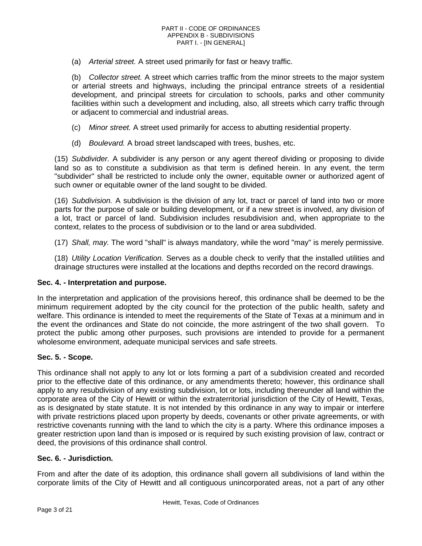(a) *Arterial street.* A street used primarily for fast or heavy traffic.

(b) *Collector street.* A street which carries traffic from the minor streets to the major system or arterial streets and highways, including the principal entrance streets of a residential development, and principal streets for circulation to schools, parks and other community facilities within such a development and including, also, all streets which carry traffic through or adjacent to commercial and industrial areas.

- (c) *Minor street.* A street used primarily for access to abutting residential property.
- (d) *Boulevard.* A broad street landscaped with trees, bushes, etc.

(15) *Subdivider.* A subdivider is any person or any agent thereof dividing or proposing to divide land so as to constitute a subdivision as that term is defined herein. In any event, the term "subdivider" shall be restricted to include only the owner, equitable owner or authorized agent of such owner or equitable owner of the land sought to be divided.

(16) *Subdivision.* A subdivision is the division of any lot, tract or parcel of land into two or more parts for the purpose of sale or building development, or if a new street is involved, any division of a lot, tract or parcel of land. Subdivision includes resubdivision and, when appropriate to the context, relates to the process of subdivision or to the land or area subdivided.

(17) *Shall, may.* The word "shall" is always mandatory, while the word "may" is merely permissive.

(18) *Utility Location Verification.* Serves as a double check to verify that the installed utilities and drainage structures were installed at the locations and depths recorded on the record drawings.

### <span id="page-2-0"></span>**Sec. 4. - Interpretation and purpose.**

In the interpretation and application of the provisions hereof, this ordinance shall be deemed to be the minimum requirement adopted by the city council for the protection of the public health, safety and welfare. This ordinance is intended to meet the requirements of the State of Texas at a minimum and in the event the ordinances and State do not coincide, the more astringent of the two shall govern. To protect the public among other purposes, such provisions are intended to provide for a permanent wholesome environment, adequate municipal services and safe streets.

### <span id="page-2-1"></span>**Sec. 5. - Scope.**

This ordinance shall not apply to any lot or lots forming a part of a subdivision created and recorded prior to the effective date of this ordinance, or any amendments thereto; however, this ordinance shall apply to any resubdivision of any existing subdivision, lot or lots, including thereunder all land within the corporate area of the City of Hewitt or within the extraterritorial jurisdiction of the City of Hewitt, Texas, as is designated by state statute. It is not intended by this ordinance in any way to impair or interfere with private restrictions placed upon property by deeds, covenants or other private agreements, or with restrictive covenants running with the land to which the city is a party. Where this ordinance imposes a greater restriction upon land than is imposed or is required by such existing provision of law, contract or deed, the provisions of this ordinance shall control.

### <span id="page-2-2"></span>**Sec. 6. - Jurisdiction.**

From and after the date of its adoption, this ordinance shall govern all subdivisions of land within the corporate limits of the City of Hewitt and all contiguous unincorporated areas, not a part of any other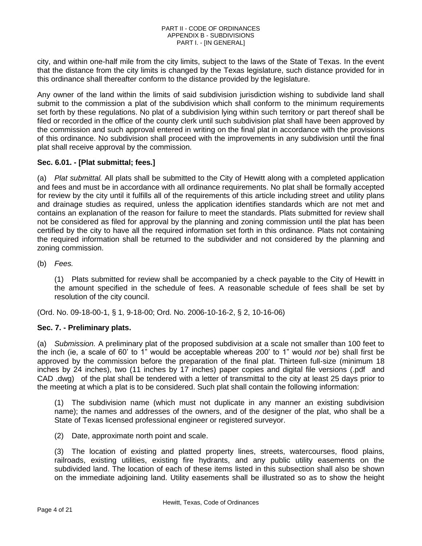city, and within one-half mile from the city limits, subject to the laws of the State of Texas. In the event that the distance from the city limits is changed by the Texas legislature, such distance provided for in this ordinance shall thereafter conform to the distance provided by the legislature.

Any owner of the land within the limits of said subdivision jurisdiction wishing to subdivide land shall submit to the commission a plat of the subdivision which shall conform to the minimum requirements set forth by these regulations. No plat of a subdivision lying within such territory or part thereof shall be filed or recorded in the office of the county clerk until such subdivision plat shall have been approved by the commission and such approval entered in writing on the final plat in accordance with the provisions of this ordinance. No subdivision shall proceed with the improvements in any subdivision until the final plat shall receive approval by the commission.

# <span id="page-3-0"></span>**Sec. 6.01. - [Plat submittal; fees.]**

(a) *Plat submittal.* All plats shall be submitted to the City of Hewitt along with a completed application and fees and must be in accordance with all ordinance requirements. No plat shall be formally accepted for review by the city until it fulfills all of the requirements of this article including street and utility plans and drainage studies as required, unless the application identifies standards which are not met and contains an explanation of the reason for failure to meet the standards. Plats submitted for review shall not be considered as filed for approval by the planning and zoning commission until the plat has been certified by the city to have all the required information set forth in this ordinance. Plats not containing the required information shall be returned to the subdivider and not considered by the planning and zoning commission.

(b) *Fees.*

(1) Plats submitted for review shall be accompanied by a check payable to the City of Hewitt in the amount specified in the schedule of fees. A reasonable schedule of fees shall be set by resolution of the city council.

(Ord. No. 09-18-00-1, § 1, 9-18-00; Ord. No. 2006-10-16-2, § 2, 10-16-06)

### <span id="page-3-1"></span>**Sec. 7. - Preliminary plats.**

(a) *Submission.* A preliminary plat of the proposed subdivision at a scale not smaller than 100 feet to the inch (ie, a scale of 60' to 1" would be acceptable whereas 200' to 1" would *not* be) shall first be approved by the commission before the preparation of the final plat. Thirteen full-size (minimum 18 inches by 24 inches), two (11 inches by 17 inches) paper copies and digital file versions (.pdf and CAD .dwg) of the plat shall be tendered with a letter of transmittal to the city at least 25 days prior to the meeting at which a plat is to be considered. Such plat shall contain the following information:

(1) The subdivision name (which must not duplicate in any manner an existing subdivision name); the names and addresses of the owners, and of the designer of the plat, who shall be a State of Texas licensed professional engineer or registered surveyor.

(2) Date, approximate north point and scale.

(3) The location of existing and platted property lines, streets, watercourses, flood plains, railroads, existing utilities, existing fire hydrants, and any public utility easements on the subdivided land. The location of each of these items listed in this subsection shall also be shown on the immediate adjoining land. Utility easements shall be illustrated so as to show the height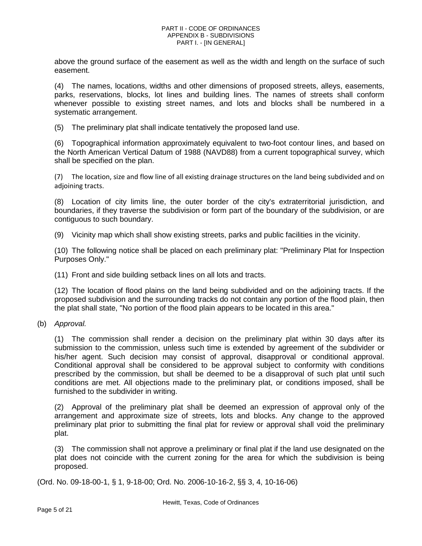above the ground surface of the easement as well as the width and length on the surface of such easement.

(4) The names, locations, widths and other dimensions of proposed streets, alleys, easements, parks, reservations, blocks, lot lines and building lines. The names of streets shall conform whenever possible to existing street names, and lots and blocks shall be numbered in a systematic arrangement.

(5) The preliminary plat shall indicate tentatively the proposed land use.

(6) Topographical information approximately equivalent to two-foot contour lines, and based on the North American Vertical Datum of 1988 (NAVD88) from a current topographical survey, which shall be specified on the plan.

(7) The location, size and flow line of all existing drainage structures on the land being subdivided and on adjoining tracts.

(8) Location of city limits line, the outer border of the city's extraterritorial jurisdiction, and boundaries, if they traverse the subdivision or form part of the boundary of the subdivision, or are contiguous to such boundary.

(9) Vicinity map which shall show existing streets, parks and public facilities in the vicinity.

(10) The following notice shall be placed on each preliminary plat: "Preliminary Plat for Inspection Purposes Only."

(11) Front and side building setback lines on all lots and tracts.

(12) The location of flood plains on the land being subdivided and on the adjoining tracts. If the proposed subdivision and the surrounding tracks do not contain any portion of the flood plain, then the plat shall state, "No portion of the flood plain appears to be located in this area."

(b) *Approval.*

(1) The commission shall render a decision on the preliminary plat within 30 days after its submission to the commission, unless such time is extended by agreement of the subdivider or his/her agent. Such decision may consist of approval, disapproval or conditional approval. Conditional approval shall be considered to be approval subject to conformity with conditions prescribed by the commission, but shall be deemed to be a disapproval of such plat until such conditions are met. All objections made to the preliminary plat, or conditions imposed, shall be furnished to the subdivider in writing.

(2) Approval of the preliminary plat shall be deemed an expression of approval only of the arrangement and approximate size of streets, lots and blocks. Any change to the approved preliminary plat prior to submitting the final plat for review or approval shall void the preliminary plat.

(3) The commission shall not approve a preliminary or final plat if the land use designated on the plat does not coincide with the current zoning for the area for which the subdivision is being proposed.

(Ord. No. 09-18-00-1, § 1, 9-18-00; Ord. No. 2006-10-16-2, §§ 3, 4, 10-16-06)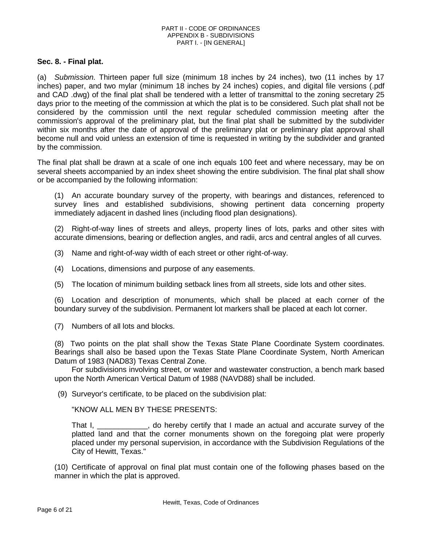# <span id="page-5-0"></span>**Sec. 8. - Final plat.**

(a) *Submission.* Thirteen paper full size (minimum 18 inches by 24 inches), two (11 inches by 17 inches) paper, and two mylar (minimum 18 inches by 24 inches) copies, and digital file versions (.pdf and CAD .dwg) of the final plat shall be tendered with a letter of transmittal to the zoning secretary 25 days prior to the meeting of the commission at which the plat is to be considered. Such plat shall not be considered by the commission until the next regular scheduled commission meeting after the commission's approval of the preliminary plat, but the final plat shall be submitted by the subdivider within six months after the date of approval of the preliminary plat or preliminary plat approval shall become null and void unless an extension of time is requested in writing by the subdivider and granted by the commission.

The final plat shall be drawn at a scale of one inch equals 100 feet and where necessary, may be on several sheets accompanied by an index sheet showing the entire subdivision. The final plat shall show or be accompanied by the following information:

(1) An accurate boundary survey of the property, with bearings and distances, referenced to survey lines and established subdivisions, showing pertinent data concerning property immediately adjacent in dashed lines (including flood plan designations).

(2) Right-of-way lines of streets and alleys, property lines of lots, parks and other sites with accurate dimensions, bearing or deflection angles, and radii, arcs and central angles of all curves.

(3) Name and right-of-way width of each street or other right-of-way.

- (4) Locations, dimensions and purpose of any easements.
- (5) The location of minimum building setback lines from all streets, side lots and other sites.

(6) Location and description of monuments, which shall be placed at each corner of the boundary survey of the subdivision. Permanent lot markers shall be placed at each lot corner.

(7) Numbers of all lots and blocks.

(8) Two points on the plat shall show the Texas State Plane Coordinate System coordinates. Bearings shall also be based upon the Texas State Plane Coordinate System, North American Datum of 1983 (NAD83) Texas Central Zone.

For subdivisions involving street, or water and wastewater construction, a bench mark based upon the North American Vertical Datum of 1988 (NAVD88) shall be included.

(9) Surveyor's certificate, to be placed on the subdivision plat:

"KNOW ALL MEN BY THESE PRESENTS:

That I, \_\_\_\_\_\_\_\_\_\_\_\_, do hereby certify that I made an actual and accurate survey of the platted land and that the corner monuments shown on the foregoing plat were properly placed under my personal supervision, in accordance with the Subdivision Regulations of the City of Hewitt, Texas."

(10) Certificate of approval on final plat must contain one of the following phases based on the manner in which the plat is approved.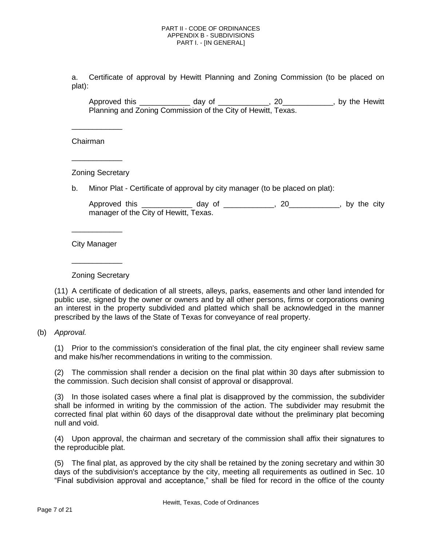a. Certificate of approval by Hewitt Planning and Zoning Commission (to be placed on plat):

Approved this \_\_\_\_\_\_\_\_\_\_\_\_ day of \_\_\_\_\_\_\_\_\_\_\_\_, 20\_\_\_\_\_\_\_\_\_\_\_\_, by the Hewitt Planning and Zoning Commission of the City of Hewitt, Texas.

Chairman

\_\_\_\_\_\_\_\_\_\_\_\_

\_\_\_\_\_\_\_\_\_\_\_\_

Zoning Secretary

b. Minor Plat - Certificate of approval by city manager (to be placed on plat):

Approved this \_\_\_\_\_\_\_\_\_\_\_\_\_\_ day of \_\_\_\_\_\_\_\_\_\_\_\_, 20\_\_\_\_\_\_\_\_\_\_\_\_, by the city manager of the City of Hewitt, Texas.

City Manager

\_\_\_\_\_\_\_\_\_\_\_\_

\_\_\_\_\_\_\_\_\_\_\_\_

Zoning Secretary

(11) A certificate of dedication of all streets, alleys, parks, easements and other land intended for public use, signed by the owner or owners and by all other persons, firms or corporations owning an interest in the property subdivided and platted which shall be acknowledged in the manner prescribed by the laws of the State of Texas for conveyance of real property.

(b) *Approval.*

(1) Prior to the commission's consideration of the final plat, the city engineer shall review same and make his/her recommendations in writing to the commission.

(2) The commission shall render a decision on the final plat within 30 days after submission to the commission. Such decision shall consist of approval or disapproval.

(3) In those isolated cases where a final plat is disapproved by the commission, the subdivider shall be informed in writing by the commission of the action. The subdivider may resubmit the corrected final plat within 60 days of the disapproval date without the preliminary plat becoming null and void.

(4) Upon approval, the chairman and secretary of the commission shall affix their signatures to the reproducible plat.

(5) The final plat, as approved by the city shall be retained by the zoning secretary and within 30 days of the subdivision's acceptance by the city, meeting all requirements as outlined in Sec. 10 "Final subdivision approval and acceptance," shall be filed for record in the office of the county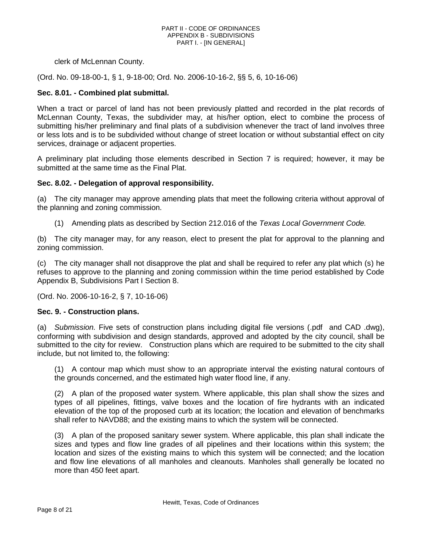clerk of McLennan County.

(Ord. No. 09-18-00-1, § 1, 9-18-00; Ord. No. 2006-10-16-2, §§ 5, 6, 10-16-06)

## <span id="page-7-0"></span>**Sec. 8.01. - Combined plat submittal.**

When a tract or parcel of land has not been previously platted and recorded in the plat records of McLennan County, Texas, the subdivider may, at his/her option, elect to combine the process of submitting his/her preliminary and final plats of a subdivision whenever the tract of land involves three or less lots and is to be subdivided without change of street location or without substantial effect on city services, drainage or adjacent properties.

A preliminary plat including those elements described in Section 7 is required; however, it may be submitted at the same time as the Final Plat.

### <span id="page-7-1"></span>**Sec. 8.02. - Delegation of approval responsibility.**

(a) The city manager may approve amending plats that meet the following criteria without approval of the planning and zoning commission.

(1) Amending plats as described by Section 212.016 of the *Texas Local Government Code.*

(b) The city manager may, for any reason, elect to present the plat for approval to the planning and zoning commission.

(c) The city manager shall not disapprove the plat and shall be required to refer any plat which (s) he refuses to approve to the planning and zoning commission within the time period established by Code Appendix B, Subdivisions Part I Section 8.

(Ord. No. 2006-10-16-2, § 7, 10-16-06)

### <span id="page-7-2"></span>**Sec. 9. - Construction plans.**

(a) *Submission.* Five sets of construction plans including digital file versions (.pdf and CAD .dwg), conforming with subdivision and design standards, approved and adopted by the city council, shall be submitted to the city for review. Construction plans which are required to be submitted to the city shall include, but not limited to, the following:

(1) A contour map which must show to an appropriate interval the existing natural contours of the grounds concerned, and the estimated high water flood line, if any.

(2) A plan of the proposed water system. Where applicable, this plan shall show the sizes and types of all pipelines, fittings, valve boxes and the location of fire hydrants with an indicated elevation of the top of the proposed curb at its location; the location and elevation of benchmarks shall refer to NAVD88; and the existing mains to which the system will be connected.

(3) A plan of the proposed sanitary sewer system. Where applicable, this plan shall indicate the sizes and types and flow line grades of all pipelines and their locations within this system; the location and sizes of the existing mains to which this system will be connected; and the location and flow line elevations of all manholes and cleanouts. Manholes shall generally be located no more than 450 feet apart.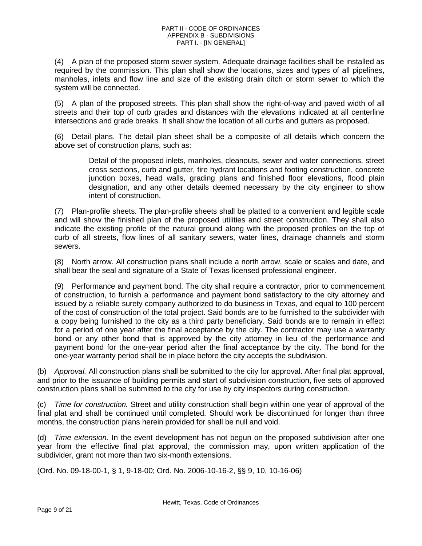(4) A plan of the proposed storm sewer system. Adequate drainage facilities shall be installed as required by the commission. This plan shall show the locations, sizes and types of all pipelines, manholes, inlets and flow line and size of the existing drain ditch or storm sewer to which the system will be connected.

(5) A plan of the proposed streets. This plan shall show the right-of-way and paved width of all streets and their top of curb grades and distances with the elevations indicated at all centerline intersections and grade breaks. It shall show the location of all curbs and gutters as proposed.

(6) Detail plans. The detail plan sheet shall be a composite of all details which concern the above set of construction plans, such as:

> Detail of the proposed inlets, manholes, cleanouts, sewer and water connections, street cross sections, curb and gutter, fire hydrant locations and footing construction, concrete junction boxes, head walls, grading plans and finished floor elevations, flood plain designation, and any other details deemed necessary by the city engineer to show intent of construction.

(7) Plan-profile sheets. The plan-profile sheets shall be platted to a convenient and legible scale and will show the finished plan of the proposed utilities and street construction. They shall also indicate the existing profile of the natural ground along with the proposed profiles on the top of curb of all streets, flow lines of all sanitary sewers, water lines, drainage channels and storm sewers.

(8) North arrow. All construction plans shall include a north arrow, scale or scales and date, and shall bear the seal and signature of a State of Texas licensed professional engineer.

(9) Performance and payment bond. The city shall require a contractor, prior to commencement of construction, to furnish a performance and payment bond satisfactory to the city attorney and issued by a reliable surety company authorized to do business in Texas, and equal to 100 percent of the cost of construction of the total project. Said bonds are to be furnished to the subdivider with a copy being furnished to the city as a third party beneficiary. Said bonds are to remain in effect for a period of one year after the final acceptance by the city. The contractor may use a warranty bond or any other bond that is approved by the city attorney in lieu of the performance and payment bond for the one-year period after the final acceptance by the city. The bond for the one-year warranty period shall be in place before the city accepts the subdivision.

(b) *Approval.* All construction plans shall be submitted to the city for approval. After final plat approval, and prior to the issuance of building permits and start of subdivision construction, five sets of approved construction plans shall be submitted to the city for use by city inspectors during construction.

(c) *Time for construction.* Street and utility construction shall begin within one year of approval of the final plat and shall be continued until completed. Should work be discontinued for longer than three months, the construction plans herein provided for shall be null and void.

(d) *Time extension.* In the event development has not begun on the proposed subdivision after one year from the effective final plat approval, the commission may, upon written application of the subdivider, grant not more than two six-month extensions.

(Ord. No. 09-18-00-1, § 1, 9-18-00; Ord. No. 2006-10-16-2, §§ 9, 10, 10-16-06)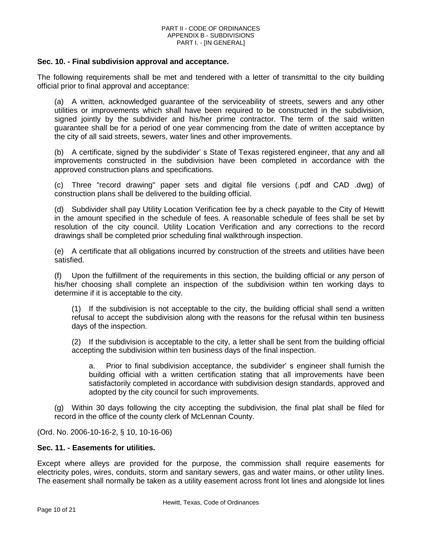### <span id="page-9-0"></span>**Sec. 10. - Final subdivision approval and acceptance.**

The following requirements shall be met and tendered with a letter of transmittal to the city building official prior to final approval and acceptance:

(a) A written, acknowledged guarantee of the serviceability of streets, sewers and any other utilities or improvements which shall have been required to be constructed in the subdivision, signed jointly by the subdivider and his/her prime contractor. The term of the said written guarantee shall be for a period of one year commencing from the date of written acceptance by the city of all said streets, sewers, water lines and other improvements.

(b) A certificate, signed by the subdivider' s State of Texas registered engineer, that any and all improvements constructed in the subdivision have been completed in accordance with the approved construction plans and specifications.

(c) Three "record drawing" paper sets and digital file versions (.pdf and CAD .dwg) of construction plans shall be delivered to the building official.

(d) Subdivider shall pay Utility Location Verification fee by a check payable to the City of Hewitt in the amount specified in the schedule of fees. A reasonable schedule of fees shall be set by resolution of the city council. Utility Location Verification and any corrections to the record drawings shall be completed prior scheduling final walkthrough inspection.

(e) A certificate that all obligations incurred by construction of the streets and utilities have been satisfied.

(f) Upon the fulfillment of the requirements in this section, the building official or any person of his/her choosing shall complete an inspection of the subdivision within ten working days to determine if it is acceptable to the city.

(1) If the subdivision is not acceptable to the city, the building official shall send a written refusal to accept the subdivision along with the reasons for the refusal within ten business days of the inspection.

(2) If the subdivision is acceptable to the city, a letter shall be sent from the building official accepting the subdivision within ten business days of the final inspection.

a. Prior to final subdivision acceptance, the subdivider' s engineer shall furnish the building official with a written certification stating that all improvements have been satisfactorily completed in accordance with subdivision design standards, approved and adopted by the city council for such improvements.

(g) Within 30 days following the city accepting the subdivision, the final plat shall be filed for record in the office of the county clerk of McLennan County.

(Ord. No. 2006-10-16-2, § 10, 10-16-06)

### <span id="page-9-1"></span>**Sec. 11. - Easements for utilities.**

Except where alleys are provided for the purpose, the commission shall require easements for electricity poles, wires, conduits, storm and sanitary sewers, gas and water mains, or other utility lines. The easement shall normally be taken as a utility easement across front lot lines and alongside lot lines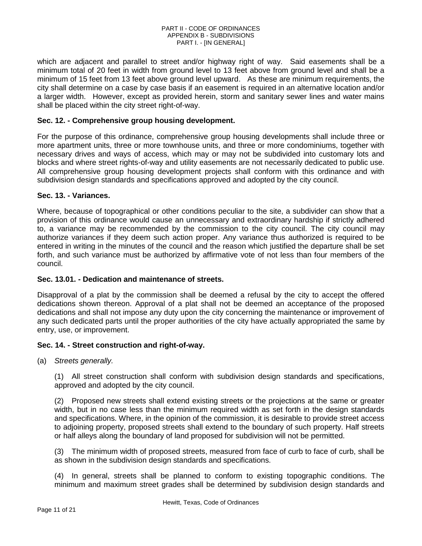which are adjacent and parallel to street and/or highway right of way. Said easements shall be a minimum total of 20 feet in width from ground level to 13 feet above from ground level and shall be a minimum of 15 feet from 13 feet above ground level upward. As these are minimum requirements, the city shall determine on a case by case basis if an easement is required in an alternative location and/or a larger width. However, except as provided herein, storm and sanitary sewer lines and water mains shall be placed within the city street right-of-way.

# <span id="page-10-0"></span>**Sec. 12. - Comprehensive group housing development.**

For the purpose of this ordinance, comprehensive group housing developments shall include three or more apartment units, three or more townhouse units, and three or more condominiums, together with necessary drives and ways of access, which may or may not be subdivided into customary lots and blocks and where street rights-of-way and utility easements are not necessarily dedicated to public use. All comprehensive group housing development projects shall conform with this ordinance and with subdivision design standards and specifications approved and adopted by the city council.

### <span id="page-10-1"></span>**Sec. 13. - Variances.**

Where, because of topographical or other conditions peculiar to the site, a subdivider can show that a provision of this ordinance would cause an unnecessary and extraordinary hardship if strictly adhered to, a variance may be recommended by the commission to the city council. The city council may authorize variances if they deem such action proper. Any variance thus authorized is required to be entered in writing in the minutes of the council and the reason which justified the departure shall be set forth, and such variance must be authorized by affirmative vote of not less than four members of the council.

### <span id="page-10-2"></span>**Sec. 13.01. - Dedication and maintenance of streets.**

Disapproval of a plat by the commission shall be deemed a refusal by the city to accept the offered dedications shown thereon. Approval of a plat shall not be deemed an acceptance of the proposed dedications and shall not impose any duty upon the city concerning the maintenance or improvement of any such dedicated parts until the proper authorities of the city have actually appropriated the same by entry, use, or improvement.

### <span id="page-10-3"></span>**Sec. 14. - Street construction and right-of-way.**

(a) *Streets generally.*

(1) All street construction shall conform with subdivision design standards and specifications, approved and adopted by the city council.

(2) Proposed new streets shall extend existing streets or the projections at the same or greater width, but in no case less than the minimum required width as set forth in the design standards and specifications. Where, in the opinion of the commission, it is desirable to provide street access to adjoining property, proposed streets shall extend to the boundary of such property. Half streets or half alleys along the boundary of land proposed for subdivision will not be permitted.

(3) The minimum width of proposed streets, measured from face of curb to face of curb, shall be as shown in the subdivision design standards and specifications.

(4) In general, streets shall be planned to conform to existing topographic conditions. The minimum and maximum street grades shall be determined by subdivision design standards and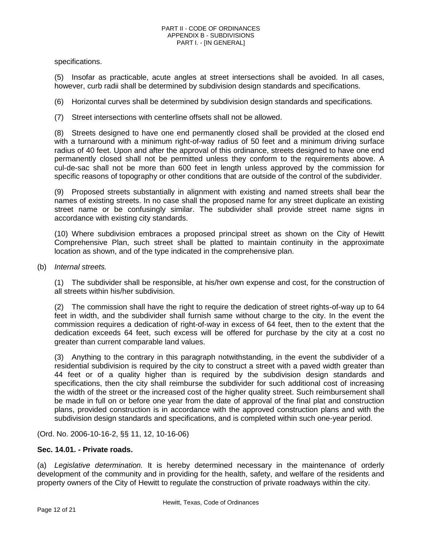specifications.

(5) Insofar as practicable, acute angles at street intersections shall be avoided. In all cases, however, curb radii shall be determined by subdivision design standards and specifications.

(6) Horizontal curves shall be determined by subdivision design standards and specifications.

(7) Street intersections with centerline offsets shall not be allowed.

(8) Streets designed to have one end permanently closed shall be provided at the closed end with a turnaround with a minimum right-of-way radius of 50 feet and a minimum driving surface radius of 40 feet. Upon and after the approval of this ordinance, streets designed to have one end permanently closed shall not be permitted unless they conform to the requirements above. A cul-de-sac shall not be more than 600 feet in length unless approved by the commission for specific reasons of topography or other conditions that are outside of the control of the subdivider.

(9) Proposed streets substantially in alignment with existing and named streets shall bear the names of existing streets. In no case shall the proposed name for any street duplicate an existing street name or be confusingly similar. The subdivider shall provide street name signs in accordance with existing city standards.

(10) Where subdivision embraces a proposed principal street as shown on the City of Hewitt Comprehensive Plan, such street shall be platted to maintain continuity in the approximate location as shown, and of the type indicated in the comprehensive plan.

(b) *Internal streets.*

(1) The subdivider shall be responsible, at his/her own expense and cost, for the construction of all streets within his/her subdivision.

(2) The commission shall have the right to require the dedication of street rights-of-way up to 64 feet in width, and the subdivider shall furnish same without charge to the city. In the event the commission requires a dedication of right-of-way in excess of 64 feet, then to the extent that the dedication exceeds 64 feet, such excess will be offered for purchase by the city at a cost no greater than current comparable land values.

(3) Anything to the contrary in this paragraph notwithstanding, in the event the subdivider of a residential subdivision is required by the city to construct a street with a paved width greater than 44 feet or of a quality higher than is required by the subdivision design standards and specifications, then the city shall reimburse the subdivider for such additional cost of increasing the width of the street or the increased cost of the higher quality street. Such reimbursement shall be made in full on or before one year from the date of approval of the final plat and construction plans, provided construction is in accordance with the approved construction plans and with the subdivision design standards and specifications, and is completed within such one-year period.

(Ord. No. 2006-10-16-2, §§ 11, 12, 10-16-06)

### <span id="page-11-0"></span>**Sec. 14.01. - Private roads.**

(a) *Legislative determination.* It is hereby determined necessary in the maintenance of orderly development of the community and in providing for the health, safety, and welfare of the residents and property owners of the City of Hewitt to regulate the construction of private roadways within the city.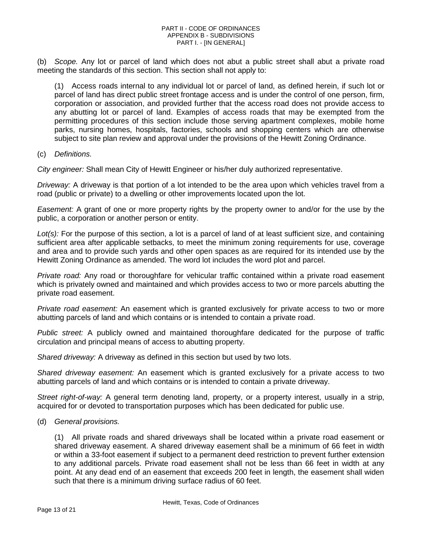(b) *Scope.* Any lot or parcel of land which does not abut a public street shall abut a private road meeting the standards of this section. This section shall not apply to:

(1) Access roads internal to any individual lot or parcel of land, as defined herein, if such lot or parcel of land has direct public street frontage access and is under the control of one person, firm, corporation or association, and provided further that the access road does not provide access to any abutting lot or parcel of land. Examples of access roads that may be exempted from the permitting procedures of this section include those serving apartment complexes, mobile home parks, nursing homes, hospitals, factories, schools and shopping centers which are otherwise subject to site plan review and approval under the provisions of the Hewitt Zoning Ordinance.

### (c) *Definitions.*

*City engineer:* Shall mean City of Hewitt Engineer or his/her duly authorized representative.

*Driveway:* A driveway is that portion of a lot intended to be the area upon which vehicles travel from a road (public or private) to a dwelling or other improvements located upon the lot.

*Easement:* A grant of one or more property rights by the property owner to and/or for the use by the public, a corporation or another person or entity.

*Lot(s):* For the purpose of this section, a lot is a parcel of land of at least sufficient size, and containing sufficient area after applicable setbacks, to meet the minimum zoning requirements for use, coverage and area and to provide such yards and other open spaces as are required for its intended use by the Hewitt Zoning Ordinance as amended. The word lot includes the word plot and parcel.

*Private road:* Any road or thoroughfare for vehicular traffic contained within a private road easement which is privately owned and maintained and which provides access to two or more parcels abutting the private road easement.

*Private road easement:* An easement which is granted exclusively for private access to two or more abutting parcels of land and which contains or is intended to contain a private road.

*Public street:* A publicly owned and maintained thoroughfare dedicated for the purpose of traffic circulation and principal means of access to abutting property.

*Shared driveway:* A driveway as defined in this section but used by two lots.

*Shared driveway easement:* An easement which is granted exclusively for a private access to two abutting parcels of land and which contains or is intended to contain a private driveway.

*Street right-of-way:* A general term denoting land, property, or a property interest, usually in a strip, acquired for or devoted to transportation purposes which has been dedicated for public use.

(d) *General provisions.*

(1) All private roads and shared driveways shall be located within a private road easement or shared driveway easement. A shared driveway easement shall be a minimum of 66 feet in width or within a 33-foot easement if subject to a permanent deed restriction to prevent further extension to any additional parcels. Private road easement shall not be less than 66 feet in width at any point. At any dead end of an easement that exceeds 200 feet in length, the easement shall widen such that there is a minimum driving surface radius of 60 feet.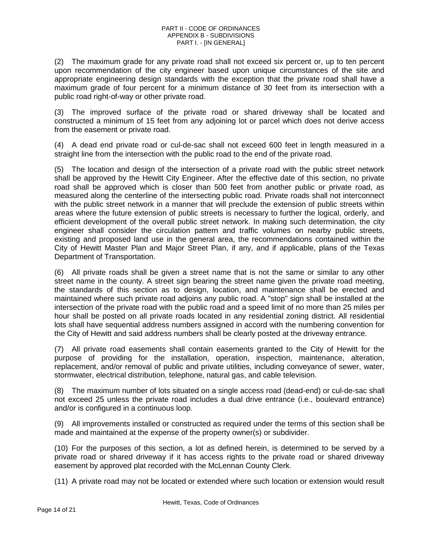(2) The maximum grade for any private road shall not exceed six percent or, up to ten percent upon recommendation of the city engineer based upon unique circumstances of the site and appropriate engineering design standards with the exception that the private road shall have a maximum grade of four percent for a minimum distance of 30 feet from its intersection with a public road right-of-way or other private road.

(3) The improved surface of the private road or shared driveway shall be located and constructed a minimum of 15 feet from any adjoining lot or parcel which does not derive access from the easement or private road.

(4) A dead end private road or cul-de-sac shall not exceed 600 feet in length measured in a straight line from the intersection with the public road to the end of the private road.

(5) The location and design of the intersection of a private road with the public street network shall be approved by the Hewitt City Engineer. After the effective date of this section, no private road shall be approved which is closer than 500 feet from another public or private road, as measured along the centerline of the intersecting public road. Private roads shall not interconnect with the public street network in a manner that will preclude the extension of public streets within areas where the future extension of public streets is necessary to further the logical, orderly, and efficient development of the overall public street network. In making such determination, the city engineer shall consider the circulation pattern and traffic volumes on nearby public streets, existing and proposed land use in the general area, the recommendations contained within the City of Hewitt Master Plan and Major Street Plan, if any, and if applicable, plans of the Texas Department of Transportation.

(6) All private roads shall be given a street name that is not the same or similar to any other street name in the county. A street sign bearing the street name given the private road meeting, the standards of this section as to design, location, and maintenance shall be erected and maintained where such private road adjoins any public road. A "stop" sign shall be installed at the intersection of the private road with the public road and a speed limit of no more than 25 miles per hour shall be posted on all private roads located in any residential zoning district. All residential lots shall have sequential address numbers assigned in accord with the numbering convention for the City of Hewitt and said address numbers shall be clearly posted at the driveway entrance.

(7) All private road easements shall contain easements granted to the City of Hewitt for the purpose of providing for the installation, operation, inspection, maintenance, alteration, replacement, and/or removal of public and private utilities, including conveyance of sewer, water, stormwater, electrical distribution, telephone, natural gas, and cable television.

(8) The maximum number of lots situated on a single access road (dead-end) or cul-de-sac shall not exceed 25 unless the private road includes a dual drive entrance (i.e., boulevard entrance) and/or is configured in a continuous loop.

(9) All improvements installed or constructed as required under the terms of this section shall be made and maintained at the expense of the property owner(s) or subdivider.

(10) For the purposes of this section, a lot as defined herein, is determined to be served by a private road or shared driveway if it has access rights to the private road or shared driveway easement by approved plat recorded with the McLennan County Clerk.

(11) A private road may not be located or extended where such location or extension would result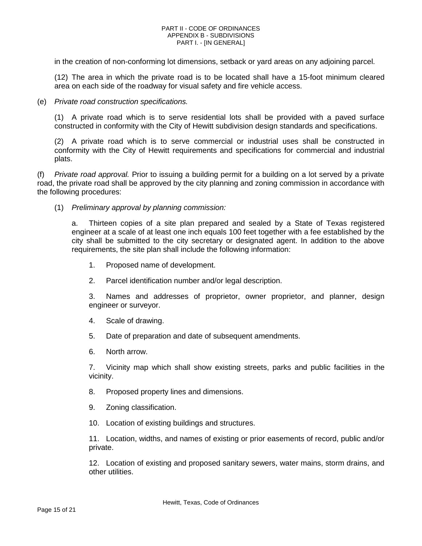in the creation of non-conforming lot dimensions, setback or yard areas on any adjoining parcel.

(12) The area in which the private road is to be located shall have a 15-foot minimum cleared area on each side of the roadway for visual safety and fire vehicle access.

#### (e) *Private road construction specifications.*

(1) A private road which is to serve residential lots shall be provided with a paved surface constructed in conformity with the City of Hewitt subdivision design standards and specifications.

(2) A private road which is to serve commercial or industrial uses shall be constructed in conformity with the City of Hewitt requirements and specifications for commercial and industrial plats.

(f) *Private road approval.* Prior to issuing a building permit for a building on a lot served by a private road, the private road shall be approved by the city planning and zoning commission in accordance with the following procedures:

(1) *Preliminary approval by planning commission:*

a. Thirteen copies of a site plan prepared and sealed by a State of Texas registered engineer at a scale of at least one inch equals 100 feet together with a fee established by the city shall be submitted to the city secretary or designated agent. In addition to the above requirements, the site plan shall include the following information:

- 1. Proposed name of development.
- 2. Parcel identification number and/or legal description.

3. Names and addresses of proprietor, owner proprietor, and planner, design engineer or surveyor.

- 4. Scale of drawing.
- 5. Date of preparation and date of subsequent amendments.
- 6. North arrow.

7. Vicinity map which shall show existing streets, parks and public facilities in the vicinity.

- 8. Proposed property lines and dimensions.
- 9. Zoning classification.
- 10. Location of existing buildings and structures.

11. Location, widths, and names of existing or prior easements of record, public and/or private.

12. Location of existing and proposed sanitary sewers, water mains, storm drains, and other utilities.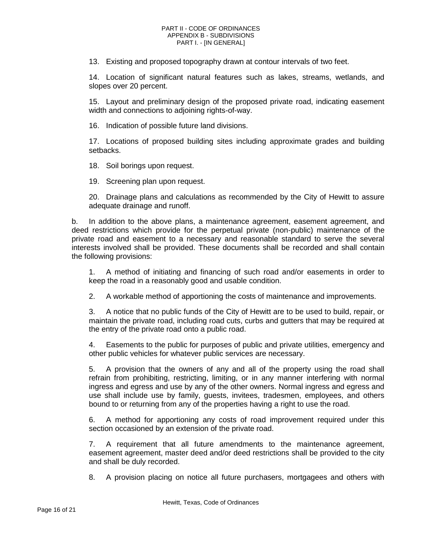13. Existing and proposed topography drawn at contour intervals of two feet.

14. Location of significant natural features such as lakes, streams, wetlands, and slopes over 20 percent.

15. Layout and preliminary design of the proposed private road, indicating easement width and connections to adjoining rights-of-way.

16. Indication of possible future land divisions.

17. Locations of proposed building sites including approximate grades and building setbacks.

18. Soil borings upon request.

19. Screening plan upon request.

20. Drainage plans and calculations as recommended by the City of Hewitt to assure adequate drainage and runoff.

b. In addition to the above plans, a maintenance agreement, easement agreement, and deed restrictions which provide for the perpetual private (non-public) maintenance of the private road and easement to a necessary and reasonable standard to serve the several interests involved shall be provided. These documents shall be recorded and shall contain the following provisions:

1. A method of initiating and financing of such road and/or easements in order to keep the road in a reasonably good and usable condition.

2. A workable method of apportioning the costs of maintenance and improvements.

3. A notice that no public funds of the City of Hewitt are to be used to build, repair, or maintain the private road, including road cuts, curbs and gutters that may be required at the entry of the private road onto a public road.

4. Easements to the public for purposes of public and private utilities, emergency and other public vehicles for whatever public services are necessary.

5. A provision that the owners of any and all of the property using the road shall refrain from prohibiting, restricting, limiting, or in any manner interfering with normal ingress and egress and use by any of the other owners. Normal ingress and egress and use shall include use by family, guests, invitees, tradesmen, employees, and others bound to or returning from any of the properties having a right to use the road.

6. A method for apportioning any costs of road improvement required under this section occasioned by an extension of the private road.

7. A requirement that all future amendments to the maintenance agreement, easement agreement, master deed and/or deed restrictions shall be provided to the city and shall be duly recorded.

8. A provision placing on notice all future purchasers, mortgagees and others with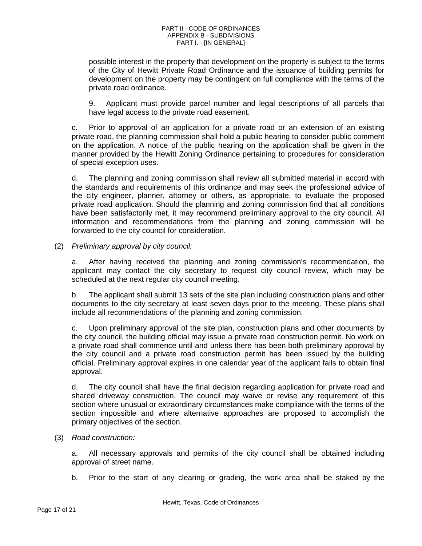possible interest in the property that development on the property is subject to the terms of the City of Hewitt Private Road Ordinance and the issuance of building permits for development on the property may be contingent on full compliance with the terms of the private road ordinance.

9. Applicant must provide parcel number and legal descriptions of all parcels that have legal access to the private road easement.

c. Prior to approval of an application for a private road or an extension of an existing private road, the planning commission shall hold a public hearing to consider public comment on the application. A notice of the public hearing on the application shall be given in the manner provided by the Hewitt Zoning Ordinance pertaining to procedures for consideration of special exception uses.

d. The planning and zoning commission shall review all submitted material in accord with the standards and requirements of this ordinance and may seek the professional advice of the city engineer, planner, attorney or others, as appropriate, to evaluate the proposed private road application. Should the planning and zoning commission find that all conditions have been satisfactorily met, it may recommend preliminary approval to the city council. All information and recommendations from the planning and zoning commission will be forwarded to the city council for consideration.

(2) *Preliminary approval by city council:*

a. After having received the planning and zoning commission's recommendation, the applicant may contact the city secretary to request city council review, which may be scheduled at the next regular city council meeting.

b. The applicant shall submit 13 sets of the site plan including construction plans and other documents to the city secretary at least seven days prior to the meeting. These plans shall include all recommendations of the planning and zoning commission.

c. Upon preliminary approval of the site plan, construction plans and other documents by the city council, the building official may issue a private road construction permit. No work on a private road shall commence until and unless there has been both preliminary approval by the city council and a private road construction permit has been issued by the building official. Preliminary approval expires in one calendar year of the applicant fails to obtain final approval.

d. The city council shall have the final decision regarding application for private road and shared driveway construction. The council may waive or revise any requirement of this section where unusual or extraordinary circumstances make compliance with the terms of the section impossible and where alternative approaches are proposed to accomplish the primary objectives of the section.

### (3) *Road construction:*

a. All necessary approvals and permits of the city council shall be obtained including approval of street name.

b. Prior to the start of any clearing or grading, the work area shall be staked by the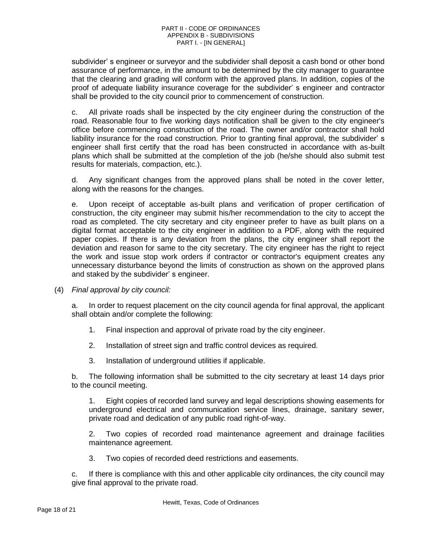subdivider' s engineer or surveyor and the subdivider shall deposit a cash bond or other bond assurance of performance, in the amount to be determined by the city manager to guarantee that the clearing and grading will conform with the approved plans. In addition, copies of the proof of adequate liability insurance coverage for the subdivider' s engineer and contractor shall be provided to the city council prior to commencement of construction.

c. All private roads shall be inspected by the city engineer during the construction of the road. Reasonable four to five working days notification shall be given to the city engineer's office before commencing construction of the road. The owner and/or contractor shall hold liability insurance for the road construction. Prior to granting final approval, the subdivider' s engineer shall first certify that the road has been constructed in accordance with as-built plans which shall be submitted at the completion of the job (he/she should also submit test results for materials, compaction, etc.).

d. Any significant changes from the approved plans shall be noted in the cover letter, along with the reasons for the changes.

e. Upon receipt of acceptable as-built plans and verification of proper certification of construction, the city engineer may submit his/her recommendation to the city to accept the road as completed. The city secretary and city engineer prefer to have as built plans on a digital format acceptable to the city engineer in addition to a PDF, along with the required paper copies. If there is any deviation from the plans, the city engineer shall report the deviation and reason for same to the city secretary. The city engineer has the right to reject the work and issue stop work orders if contractor or contractor's equipment creates any unnecessary disturbance beyond the limits of construction as shown on the approved plans and staked by the subdivider' s engineer.

(4) *Final approval by city council:*

a. In order to request placement on the city council agenda for final approval, the applicant shall obtain and/or complete the following:

- 1. Final inspection and approval of private road by the city engineer.
- 2. Installation of street sign and traffic control devices as required.
- 3. Installation of underground utilities if applicable.

b. The following information shall be submitted to the city secretary at least 14 days prior to the council meeting.

1. Eight copies of recorded land survey and legal descriptions showing easements for underground electrical and communication service lines, drainage, sanitary sewer, private road and dedication of any public road right-of-way.

2. Two copies of recorded road maintenance agreement and drainage facilities maintenance agreement.

3. Two copies of recorded deed restrictions and easements.

c. If there is compliance with this and other applicable city ordinances, the city council may give final approval to the private road.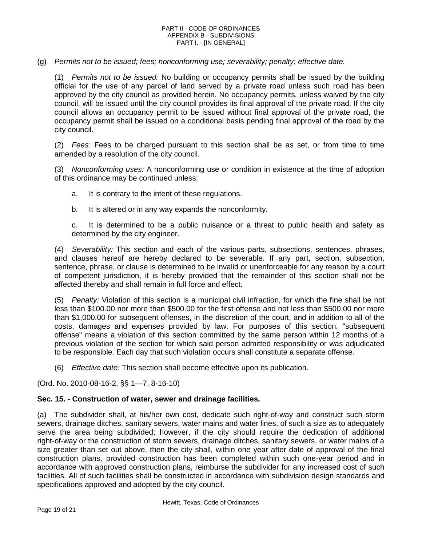(g) *Permits not to be issued; fees; nonconforming use; severability; penalty; effective date.*

(1) *Permits not to be issued:* No building or occupancy permits shall be issued by the building official for the use of any parcel of land served by a private road unless such road has been approved by the city council as provided herein. No occupancy permits, unless waived by the city council, will be issued until the city council provides its final approval of the private road. If the city council allows an occupancy permit to be issued without final approval of the private road, the occupancy permit shall be issued on a conditional basis pending final approval of the road by the city council.

(2) *Fees:* Fees to be charged pursuant to this section shall be as set, or from time to time amended by a resolution of the city council.

(3) *Nonconforming uses:* A nonconforming use or condition in existence at the time of adoption of this ordinance may be continued unless:

- a. It is contrary to the intent of these regulations.
- b. It is altered or in any way expands the nonconformity.

c. It is determined to be a public nuisance or a threat to public health and safety as determined by the city engineer.

(4) *Severability:* This section and each of the various parts, subsections, sentences, phrases, and clauses hereof are hereby declared to be severable. If any part, section, subsection, sentence, phrase, or clause is determined to be invalid or unenforceable for any reason by a court of competent jurisdiction, it is hereby provided that the remainder of this section shall not be affected thereby and shall remain in full force and effect.

(5) *Penalty:* Violation of this section is a municipal civil infraction, for which the fine shall be not less than \$100.00 nor more than \$500.00 for the first offense and not less than \$500.00 nor more than \$1,000.00 for subsequent offenses, in the discretion of the court, and in addition to all of the costs, damages and expenses provided by law. For purposes of this section, "subsequent offense" means a violation of this section committed by the same person within 12 months of a previous violation of the section for which said person admitted responsibility or was adjudicated to be responsible. Each day that such violation occurs shall constitute a separate offense.

(6) *Effective date:* This section shall become effective upon its publication.

(Ord. No. 2010-08-16-2, §§ 1—7, 8-16-10)

### <span id="page-18-0"></span>**Sec. 15. - Construction of water, sewer and drainage facilities.**

(a) The subdivider shall, at his/her own cost, dedicate such right-of-way and construct such storm sewers, drainage ditches, sanitary sewers, water mains and water lines, of such a size as to adequately serve the area being subdivided; however, if the city should require the dedication of additional right-of-way or the construction of storm sewers, drainage ditches, sanitary sewers, or water mains of a size greater than set out above, then the city shall, within one year after date of approval of the final construction plans, provided construction has been completed within such one-year period and in accordance with approved construction plans, reimburse the subdivider for any increased cost of such facilities. All of such facilities shall be constructed in accordance with subdivision design standards and specifications approved and adopted by the city council.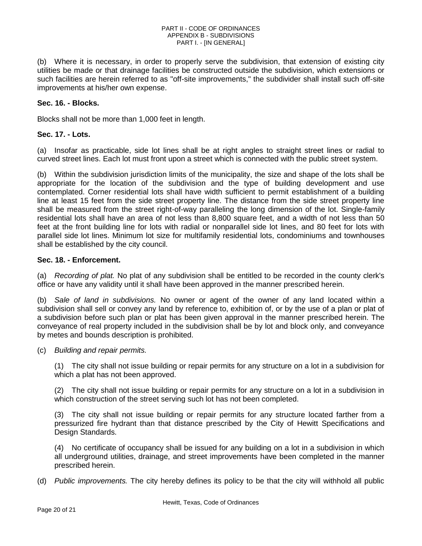(b) Where it is necessary, in order to properly serve the subdivision, that extension of existing city utilities be made or that drainage facilities be constructed outside the subdivision, which extensions or such facilities are herein referred to as "off-site improvements," the subdivider shall install such off-site improvements at his/her own expense.

# <span id="page-19-0"></span>**Sec. 16. - Blocks.**

Blocks shall not be more than 1,000 feet in length.

# <span id="page-19-1"></span>**Sec. 17. - Lots.**

(a) Insofar as practicable, side lot lines shall be at right angles to straight street lines or radial to curved street lines. Each lot must front upon a street which is connected with the public street system.

(b) Within the subdivision jurisdiction limits of the municipality, the size and shape of the lots shall be appropriate for the location of the subdivision and the type of building development and use contemplated. Corner residential lots shall have width sufficient to permit establishment of a building line at least 15 feet from the side street property line. The distance from the side street property line shall be measured from the street right-of-way paralleling the long dimension of the lot. Single-family residential lots shall have an area of not less than 8,800 square feet, and a width of not less than 50 feet at the front building line for lots with radial or nonparallel side lot lines, and 80 feet for lots with parallel side lot lines. Minimum lot size for multifamily residential lots, condominiums and townhouses shall be established by the city council.

# <span id="page-19-2"></span>**Sec. 18. - Enforcement.**

(a) *Recording of plat.* No plat of any subdivision shall be entitled to be recorded in the county clerk's office or have any validity until it shall have been approved in the manner prescribed herein.

(b) *Sale of land in subdivisions.* No owner or agent of the owner of any land located within a subdivision shall sell or convey any land by reference to, exhibition of, or by the use of a plan or plat of a subdivision before such plan or plat has been given approval in the manner prescribed herein. The conveyance of real property included in the subdivision shall be by lot and block only, and conveyance by metes and bounds description is prohibited.

(c) *Building and repair permits.*

(1) The city shall not issue building or repair permits for any structure on a lot in a subdivision for which a plat has not been approved.

(2) The city shall not issue building or repair permits for any structure on a lot in a subdivision in which construction of the street serving such lot has not been completed.

(3) The city shall not issue building or repair permits for any structure located farther from a pressurized fire hydrant than that distance prescribed by the City of Hewitt Specifications and Design Standards.

(4) No certificate of occupancy shall be issued for any building on a lot in a subdivision in which all underground utilities, drainage, and street improvements have been completed in the manner prescribed herein.

(d) *Public improvements.* The city hereby defines its policy to be that the city will withhold all public